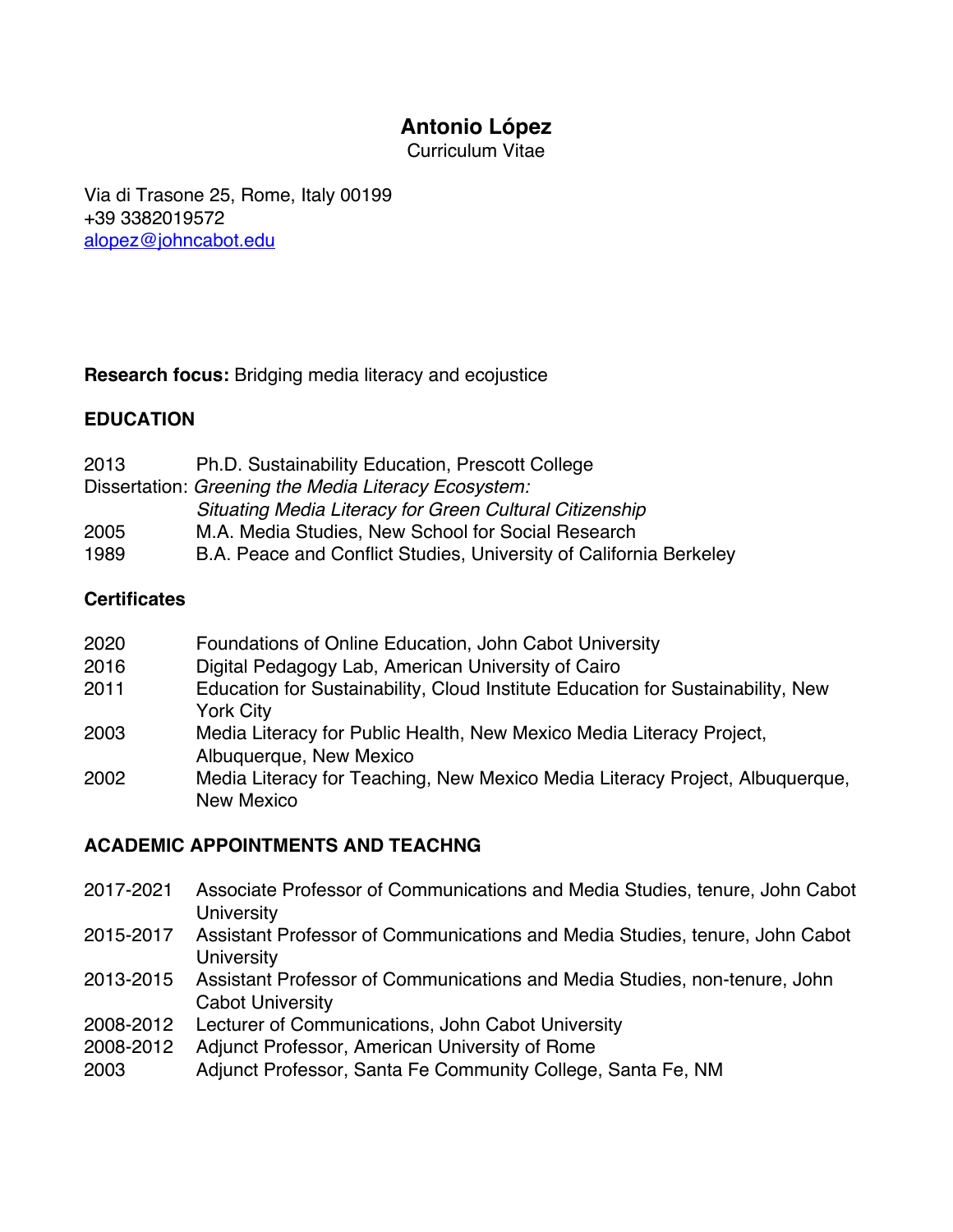# **Antonio López**

Curriculum Vitae

Via di Trasone 25, Rome, Italy 00199 +39 3382019572 alopez@johncabot.edu

### **Research focus:** Bridging media literacy and ecojustice

### **EDUCATION**

2013 Ph.D. Sustainability Education, Prescott College Dissertation: *Greening the Media Literacy Ecosystem: Situating Media Literacy for Green Cultural Citizenship* 2005 M.A. Media Studies, New School for Social Research 1989 B.A. Peace and Conflict Studies, University of California Berkeley

# **Certificates**

- 2020 Foundations of Online Education, John Cabot University
- 2016 Digital Pedagogy Lab, American University of Cairo
- 2011 Education for Sustainability, Cloud Institute Education for Sustainability, New York City
- 2003 Media Literacy for Public Health, New Mexico Media Literacy Project, Albuquerque, New Mexico
- 2002 Media Literacy for Teaching, New Mexico Media Literacy Project, Albuquerque, New Mexico

### **ACADEMIC APPOINTMENTS AND TEACHNG**

- 2017-2021 Associate Professor of Communications and Media Studies, tenure, John Cabot **University**
- 2015-2017 Assistant Professor of Communications and Media Studies, tenure, John Cabot **University**
- 2013-2015 Assistant Professor of Communications and Media Studies, non-tenure, John Cabot University
- 2008-2012 Lecturer of Communications, John Cabot University
- 2008-2012 Adjunct Professor, American University of Rome
- 2003 Adjunct Professor, Santa Fe Community College, Santa Fe, NM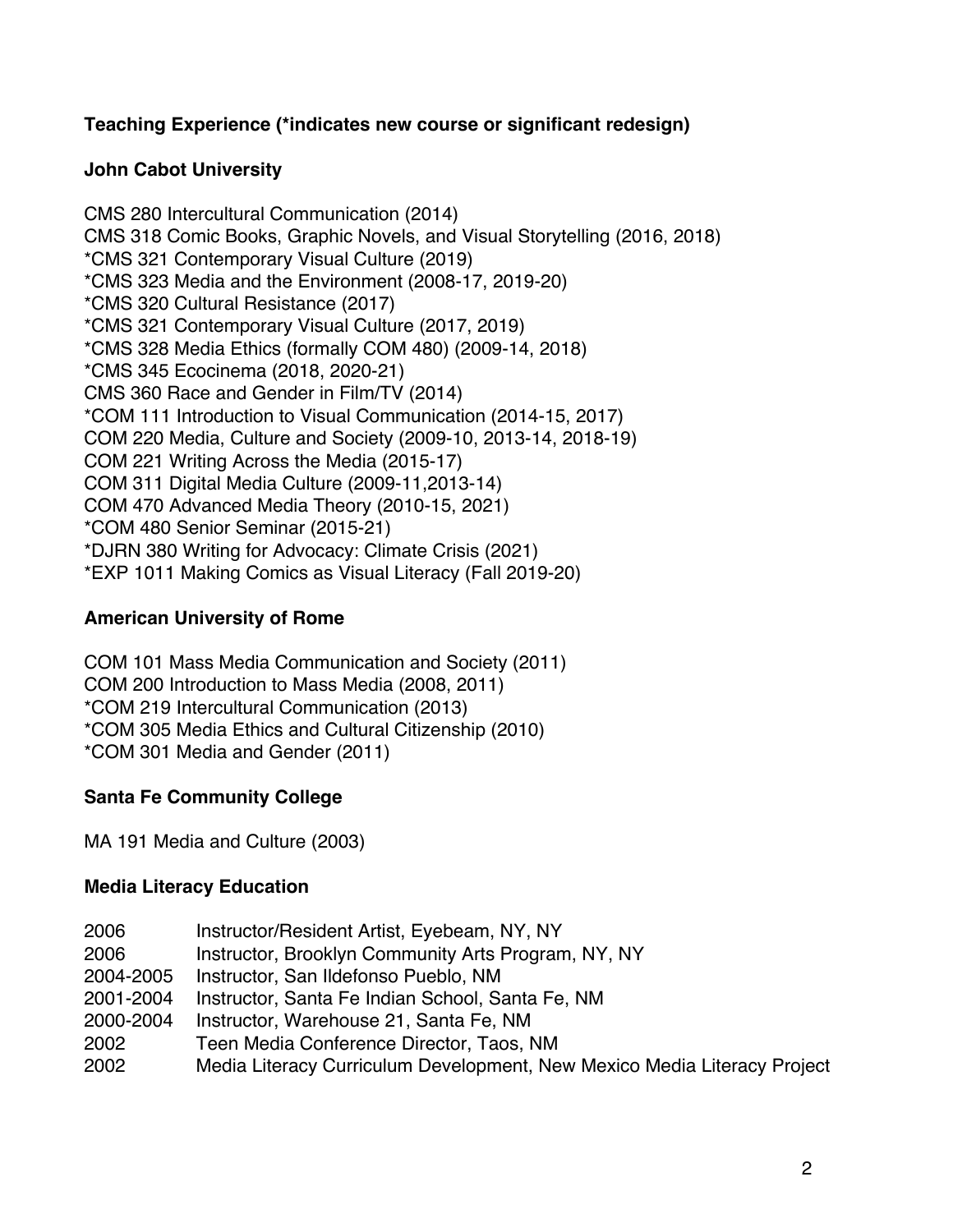### **Teaching Experience (\*indicates new course or significant redesign)**

### **John Cabot University**

CMS 280 Intercultural Communication (2014) CMS 318 Comic Books, Graphic Novels, and Visual Storytelling (2016, 2018) \*CMS 321 Contemporary Visual Culture (2019) \*CMS 323 Media and the Environment (2008-17, 2019-20) \*CMS 320 Cultural Resistance (2017) \*CMS 321 Contemporary Visual Culture (2017, 2019) \*CMS 328 Media Ethics (formally COM 480) (2009-14, 2018) \*CMS 345 Ecocinema (2018, 2020-21) CMS 360 Race and Gender in Film/TV (2014) \*COM 111 Introduction to Visual Communication (2014-15, 2017) COM 220 Media, Culture and Society (2009-10, 2013-14, 2018-19) COM 221 Writing Across the Media (2015-17) COM 311 Digital Media Culture (2009-11,2013-14) COM 470 Advanced Media Theory (2010-15, 2021) \*COM 480 Senior Seminar (2015-21) \*DJRN 380 Writing for Advocacy: Climate Crisis (2021) \*EXP 1011 Making Comics as Visual Literacy (Fall 2019-20)

### **American University of Rome**

COM 101 Mass Media Communication and Society (2011) COM 200 Introduction to Mass Media (2008, 2011) \*COM 219 Intercultural Communication (2013) \*COM 305 Media Ethics and Cultural Citizenship (2010) \*COM 301 Media and Gender (2011)

### **Santa Fe Community College**

MA 191 Media and Culture (2003)

### **Media Literacy Education**

| 2006      | Instructor/Resident Artist, Eyebeam, NY, NY                              |
|-----------|--------------------------------------------------------------------------|
| 2006      | Instructor, Brooklyn Community Arts Program, NY, NY                      |
| 2004-2005 | Instructor, San Ildefonso Pueblo, NM                                     |
| 2001-2004 | Instructor, Santa Fe Indian School, Santa Fe, NM                         |
| 2000-2004 | Instructor, Warehouse 21, Santa Fe, NM                                   |
| 2002      | Teen Media Conference Director, Taos, NM                                 |
| 2002      | Media Literacy Curriculum Development, New Mexico Media Literacy Project |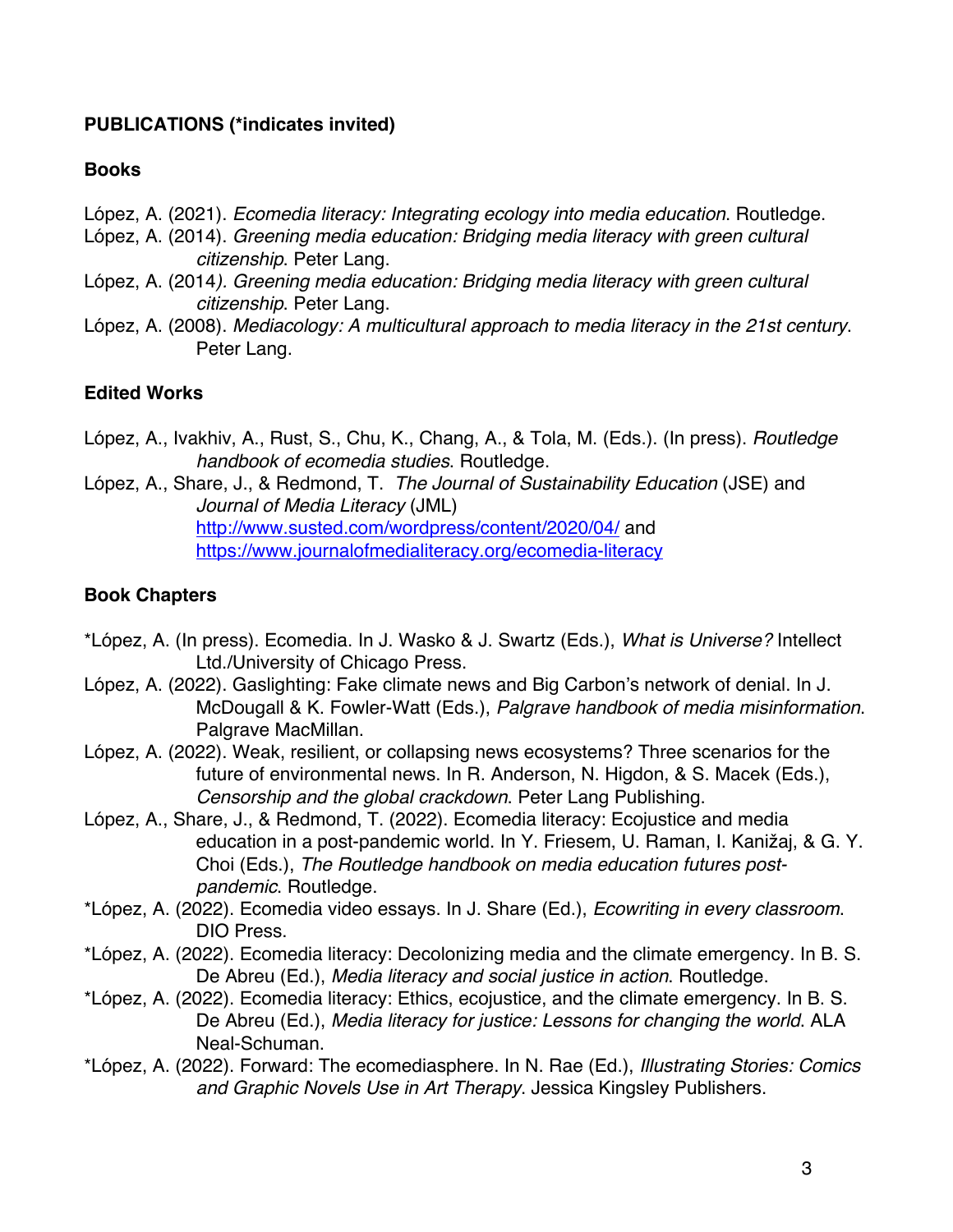### **PUBLICATIONS (\*indicates invited)**

#### **Books**

- López, A. (2021). *Ecomedia literacy: Integrating ecology into media education*. Routledge.
- López, A. (2014). *Greening media education: Bridging media literacy with green cultural citizenship*. Peter Lang.
- López, A. (2014*). Greening media education: Bridging media literacy with green cultural citizenship*. Peter Lang.
- López, A. (2008). *Mediacology: A multicultural approach to media literacy in the 21st century*. Peter Lang.

### **Edited Works**

- López, A., Ivakhiv, A., Rust, S., Chu, K., Chang, A., & Tola, M. (Eds.). (In press). *Routledge handbook of ecomedia studies*. Routledge.
- López, A., Share, J., & Redmond, T. *The Journal of Sustainability Education* (JSE) and *Journal of Media Literacy* (JML) http://www.susted.com/wordpress/content/2020/04/ and https://www.journalofmedialiteracy.org/ecomedia-literacy

### **Book Chapters**

- \*López, A. (In press). Ecomedia. In J. Wasko & J. Swartz (Eds.), *What is Universe?* Intellect Ltd./University of Chicago Press.
- López, A. (2022). Gaslighting: Fake climate news and Big Carbon's network of denial. In J. McDougall & K. Fowler-Watt (Eds.), *Palgrave handbook of media misinformation*. Palgrave MacMillan.
- López, A. (2022). Weak, resilient, or collapsing news ecosystems? Three scenarios for the future of environmental news. In R. Anderson, N. Higdon, & S. Macek (Eds.), *Censorship and the global crackdown*. Peter Lang Publishing.
- López, A., Share, J., & Redmond, T. (2022). Ecomedia literacy: Ecojustice and media education in a post-pandemic world. In Y. Friesem, U. Raman, I. Kanižaj, & G. Y. Choi (Eds.), *The Routledge handbook on media education futures postpandemic*. Routledge.
- \*López, A. (2022). Ecomedia video essays. In J. Share (Ed.), *Ecowriting in every classroom*. DIO Press.
- \*López, A. (2022). Ecomedia literacy: Decolonizing media and the climate emergency. In B. S. De Abreu (Ed.), *Media literacy and social justice in action*. Routledge.
- \*López, A. (2022). Ecomedia literacy: Ethics, ecojustice, and the climate emergency. In B. S. De Abreu (Ed.), *Media literacy for justice: Lessons for changing the world*. ALA Neal-Schuman.
- \*López, A. (2022). Forward: The ecomediasphere. In N. Rae (Ed.), *Illustrating Stories: Comics and Graphic Novels Use in Art Therapy*. Jessica Kingsley Publishers.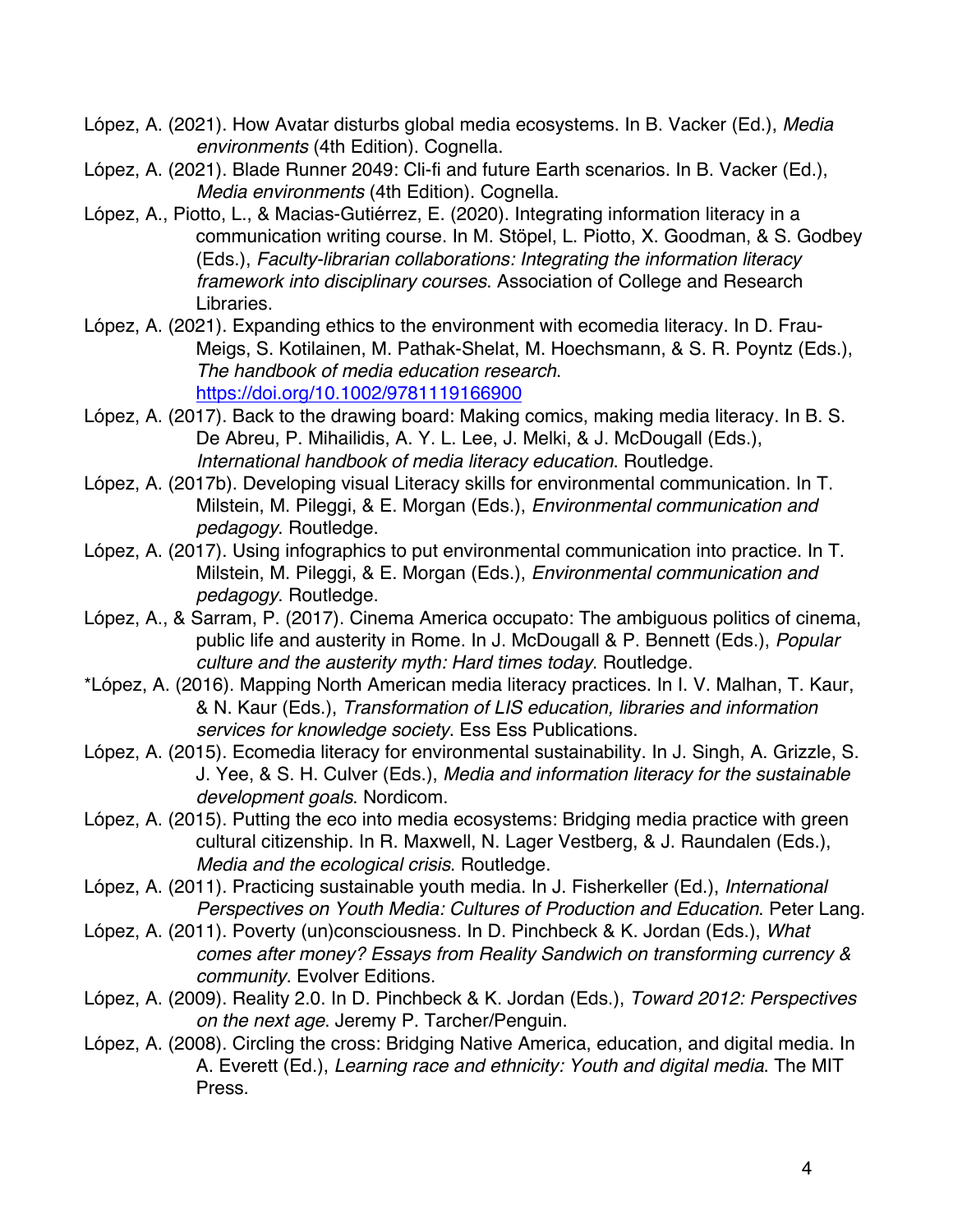- López, A. (2021). How Avatar disturbs global media ecosystems. In B. Vacker (Ed.), *Media environments* (4th Edition). Cognella.
- López, A. (2021). Blade Runner 2049: Cli-fi and future Earth scenarios. In B. Vacker (Ed.), *Media environments* (4th Edition). Cognella.
- López, A., Piotto, L., & Macias-Gutiérrez, E. (2020). Integrating information literacy in a communication writing course. In M. Stöpel, L. Piotto, X. Goodman, & S. Godbey (Eds.), *Faculty-librarian collaborations: Integrating the information literacy framework into disciplinary courses*. Association of College and Research Libraries.
- López, A. (2021). Expanding ethics to the environment with ecomedia literacy. In D. Frau-Meigs, S. Kotilainen, M. Pathak-Shelat, M. Hoechsmann, & S. R. Poyntz (Eds.), *The handbook of media education research*. https://doi.org/10.1002/9781119166900
- López, A. (2017). Back to the drawing board: Making comics, making media literacy. In B. S. De Abreu, P. Mihailidis, A. Y. L. Lee, J. Melki, & J. McDougall (Eds.), *International handbook of media literacy education*. Routledge.
- López, A. (2017b). Developing visual Literacy skills for environmental communication. In T. Milstein, M. Pileggi, & E. Morgan (Eds.), *Environmental communication and pedagogy*. Routledge.
- López, A. (2017). Using infographics to put environmental communication into practice. In T. Milstein, M. Pileggi, & E. Morgan (Eds.), *Environmental communication and pedagogy*. Routledge.
- López, A., & Sarram, P. (2017). Cinema America occupato: The ambiguous politics of cinema, public life and austerity in Rome. In J. McDougall & P. Bennett (Eds.), *Popular culture and the austerity myth: Hard times today*. Routledge.
- \*López, A. (2016). Mapping North American media literacy practices. In I. V. Malhan, T. Kaur, & N. Kaur (Eds.), *Transformation of LIS education, libraries and information services for knowledge society*. Ess Ess Publications.
- López, A. (2015). Ecomedia literacy for environmental sustainability. In J. Singh, A. Grizzle, S. J. Yee, & S. H. Culver (Eds.), *Media and information literacy for the sustainable development goals*. Nordicom.
- López, A. (2015). Putting the eco into media ecosystems: Bridging media practice with green cultural citizenship. In R. Maxwell, N. Lager Vestberg, & J. Raundalen (Eds.), *Media and the ecological crisis*. Routledge.
- López, A. (2011). Practicing sustainable youth media. In J. Fisherkeller (Ed.), *International Perspectives on Youth Media: Cultures of Production and Education*. Peter Lang.
- López, A. (2011). Poverty (un)consciousness. In D. Pinchbeck & K. Jordan (Eds.), *What comes after money? Essays from Reality Sandwich on transforming currency & community*. Evolver Editions.
- López, A. (2009). Reality 2.0. In D. Pinchbeck & K. Jordan (Eds.), *Toward 2012: Perspectives on the next age*. Jeremy P. Tarcher/Penguin.
- López, A. (2008). Circling the cross: Bridging Native America, education, and digital media. In A. Everett (Ed.), *Learning race and ethnicity: Youth and digital media*. The MIT Press.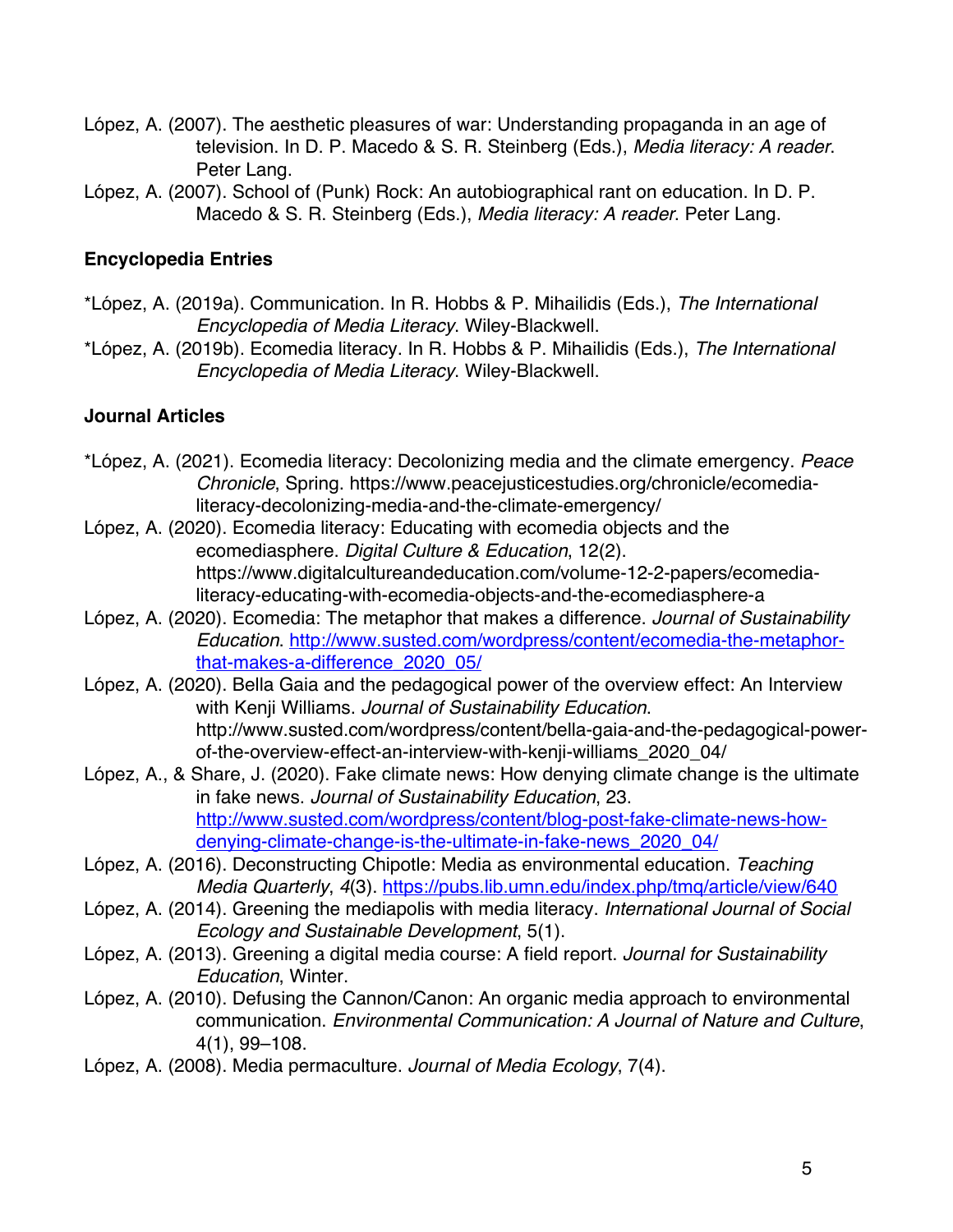- López, A. (2007). The aesthetic pleasures of war: Understanding propaganda in an age of television. In D. P. Macedo & S. R. Steinberg (Eds.), *Media literacy: A reader*. Peter Lang.
- López, A. (2007). School of (Punk) Rock: An autobiographical rant on education. In D. P. Macedo & S. R. Steinberg (Eds.), *Media literacy: A reader*. Peter Lang.

### **Encyclopedia Entries**

- \*López, A. (2019a). Communication. In R. Hobbs & P. Mihailidis (Eds.), *The International Encyclopedia of Media Literacy*. Wiley-Blackwell.
- \*López, A. (2019b). Ecomedia literacy. In R. Hobbs & P. Mihailidis (Eds.), *The International Encyclopedia of Media Literacy*. Wiley-Blackwell.

### **Journal Articles**

- \*López, A. (2021). Ecomedia literacy: Decolonizing media and the climate emergency. *Peace Chronicle*, Spring. https://www.peacejusticestudies.org/chronicle/ecomedialiteracy-decolonizing-media-and-the-climate-emergency/
- López, A. (2020). Ecomedia literacy: Educating with ecomedia objects and the ecomediasphere. *Digital Culture & Education*, 12(2). https://www.digitalcultureandeducation.com/volume-12-2-papers/ecomedialiteracy-educating-with-ecomedia-objects-and-the-ecomediasphere-a
- López, A. (2020). Ecomedia: The metaphor that makes a difference. *Journal of Sustainability Education*. http://www.susted.com/wordpress/content/ecomedia-the-metaphorthat-makes-a-difference\_2020\_05/
- López, A. (2020). Bella Gaia and the pedagogical power of the overview effect: An Interview with Kenji Williams. *Journal of Sustainability Education*. http://www.susted.com/wordpress/content/bella-gaia-and-the-pedagogical-powerof-the-overview-effect-an-interview-with-kenji-williams\_2020\_04/
- López, A., & Share, J. (2020). Fake climate news: How denying climate change is the ultimate in fake news. *Journal of Sustainability Education*, 23. http://www.susted.com/wordpress/content/blog-post-fake-climate-news-howdenying-climate-change-is-the-ultimate-in-fake-news\_2020\_04/
- López, A. (2016). Deconstructing Chipotle: Media as environmental education. *Teaching Media Quarterly, 4(3).* https://pubs.lib.umn.edu/index.php/tmq/article/view/640
- López, A. (2014). Greening the mediapolis with media literacy. *International Journal of Social Ecology and Sustainable Development*, 5(1).
- López, A. (2013). Greening a digital media course: A field report. *Journal for Sustainability Education*, Winter.
- López, A. (2010). Defusing the Cannon/Canon: An organic media approach to environmental communication. *Environmental Communication: A Journal of Nature and Culture*, 4(1), 99–108.
- López, A. (2008). Media permaculture. *Journal of Media Ecology*, 7(4).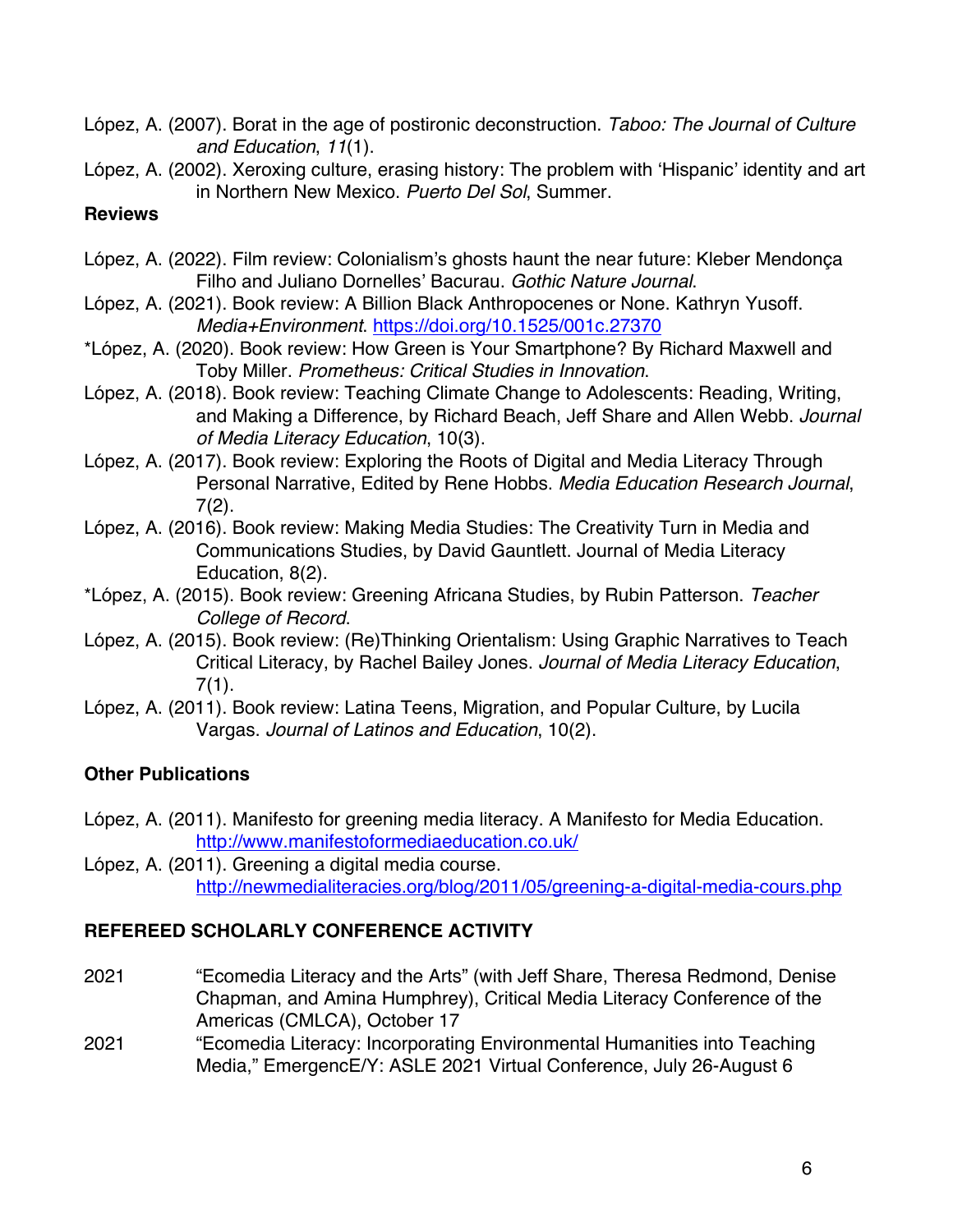López, A. (2007). Borat in the age of postironic deconstruction. *Taboo: The Journal of Culture and Education*, *11*(1).

López, A. (2002). Xeroxing culture, erasing history: The problem with 'Hispanic' identity and art in Northern New Mexico. *Puerto Del Sol*, Summer.

### **Reviews**

- López, A. (2022). Film review: Colonialism's ghosts haunt the near future: Kleber Mendonça Filho and Juliano Dornelles' Bacurau. *Gothic Nature Journal*.
- López, A. (2021). Book review: A Billion Black Anthropocenes or None. Kathryn Yusoff. *Media+Environment*. https://doi.org/10.1525/001c.27370
- \*López, A. (2020). Book review: How Green is Your Smartphone? By Richard Maxwell and Toby Miller. *Prometheus: Critical Studies in Innovation*.
- López, A. (2018). Book review: Teaching Climate Change to Adolescents: Reading, Writing, and Making a Difference, by Richard Beach, Jeff Share and Allen Webb. *Journal of Media Literacy Education*, 10(3).
- López, A. (2017). Book review: Exploring the Roots of Digital and Media Literacy Through Personal Narrative, Edited by Rene Hobbs. *Media Education Research Journal*, 7(2).
- López, A. (2016). Book review: Making Media Studies: The Creativity Turn in Media and Communications Studies, by David Gauntlett. Journal of Media Literacy Education, 8(2).
- \*López, A. (2015). Book review: Greening Africana Studies, by Rubin Patterson. *Teacher College of Record*.
- López, A. (2015). Book review: (Re)Thinking Orientalism: Using Graphic Narratives to Teach Critical Literacy, by Rachel Bailey Jones. *Journal of Media Literacy Education*, 7(1).
- López, A. (2011). Book review: Latina Teens, Migration, and Popular Culture, by Lucila Vargas. *Journal of Latinos and Education*, 10(2).

### **Other Publications**

- López, A. (2011). Manifesto for greening media literacy. A Manifesto for Media Education. http://www.manifestoformediaeducation.co.uk/
- López, A. (2011). Greening a digital media course. http://newmedialiteracies.org/blog/2011/05/greening-a-digital-media-cours.php

### **REFEREED SCHOLARLY CONFERENCE ACTIVITY**

- 2021 "Ecomedia Literacy and the Arts" (with Jeff Share, Theresa Redmond, Denise Chapman, and Amina Humphrey), Critical Media Literacy Conference of the Americas (CMLCA), October 17
- 2021 "Ecomedia Literacy: Incorporating Environmental Humanities into Teaching Media," EmergencE/Y: ASLE 2021 Virtual Conference, July 26-August 6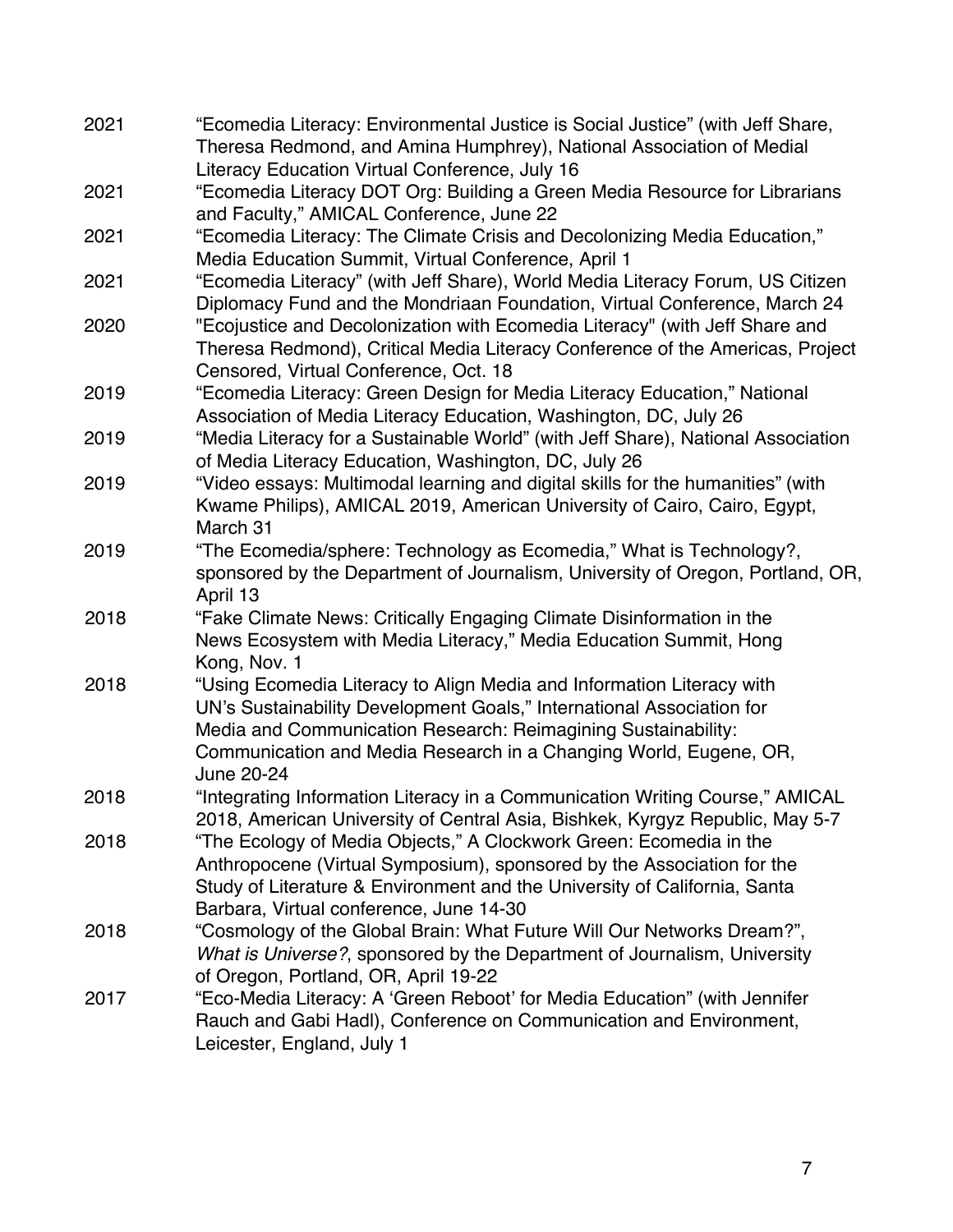| 2021 | "Ecomedia Literacy: Environmental Justice is Social Justice" (with Jeff Share,<br>Theresa Redmond, and Amina Humphrey), National Association of Medial                                                                                                                                             |
|------|----------------------------------------------------------------------------------------------------------------------------------------------------------------------------------------------------------------------------------------------------------------------------------------------------|
|      | Literacy Education Virtual Conference, July 16                                                                                                                                                                                                                                                     |
| 2021 | "Ecomedia Literacy DOT Org: Building a Green Media Resource for Librarians<br>and Faculty," AMICAL Conference, June 22                                                                                                                                                                             |
| 2021 | "Ecomedia Literacy: The Climate Crisis and Decolonizing Media Education,"<br>Media Education Summit, Virtual Conference, April 1                                                                                                                                                                   |
| 2021 | "Ecomedia Literacy" (with Jeff Share), World Media Literacy Forum, US Citizen<br>Diplomacy Fund and the Mondriaan Foundation, Virtual Conference, March 24                                                                                                                                         |
| 2020 | "Ecojustice and Decolonization with Ecomedia Literacy" (with Jeff Share and<br>Theresa Redmond), Critical Media Literacy Conference of the Americas, Project<br>Censored, Virtual Conference, Oct. 18                                                                                              |
| 2019 | "Ecomedia Literacy: Green Design for Media Literacy Education," National<br>Association of Media Literacy Education, Washington, DC, July 26                                                                                                                                                       |
| 2019 | "Media Literacy for a Sustainable World" (with Jeff Share), National Association<br>of Media Literacy Education, Washington, DC, July 26                                                                                                                                                           |
| 2019 | "Video essays: Multimodal learning and digital skills for the humanities" (with<br>Kwame Philips), AMICAL 2019, American University of Cairo, Cairo, Egypt,<br>March 31                                                                                                                            |
| 2019 | "The Ecomedia/sphere: Technology as Ecomedia," What is Technology?,<br>sponsored by the Department of Journalism, University of Oregon, Portland, OR,<br>April 13                                                                                                                                  |
| 2018 | "Fake Climate News: Critically Engaging Climate Disinformation in the<br>News Ecosystem with Media Literacy," Media Education Summit, Hong<br>Kong, Nov. 1                                                                                                                                         |
| 2018 | "Using Ecomedia Literacy to Align Media and Information Literacy with<br>UN's Sustainability Development Goals," International Association for<br>Media and Communication Research: Reimagining Sustainability:<br>Communication and Media Research in a Changing World, Eugene, OR,<br>June 20-24 |
| 2018 | "Integrating Information Literacy in a Communication Writing Course," AMICAL<br>2018, American University of Central Asia, Bishkek, Kyrgyz Republic, May 5-7                                                                                                                                       |
| 2018 | "The Ecology of Media Objects," A Clockwork Green: Ecomedia in the<br>Anthropocene (Virtual Symposium), sponsored by the Association for the<br>Study of Literature & Environment and the University of California, Santa<br>Barbara, Virtual conference, June 14-30                               |
| 2018 | "Cosmology of the Global Brain: What Future Will Our Networks Dream?",<br>What is Universe?, sponsored by the Department of Journalism, University<br>of Oregon, Portland, OR, April 19-22                                                                                                         |
| 2017 | "Eco-Media Literacy: A 'Green Reboot' for Media Education" (with Jennifer<br>Rauch and Gabi Hadl), Conference on Communication and Environment,<br>Leicester, England, July 1                                                                                                                      |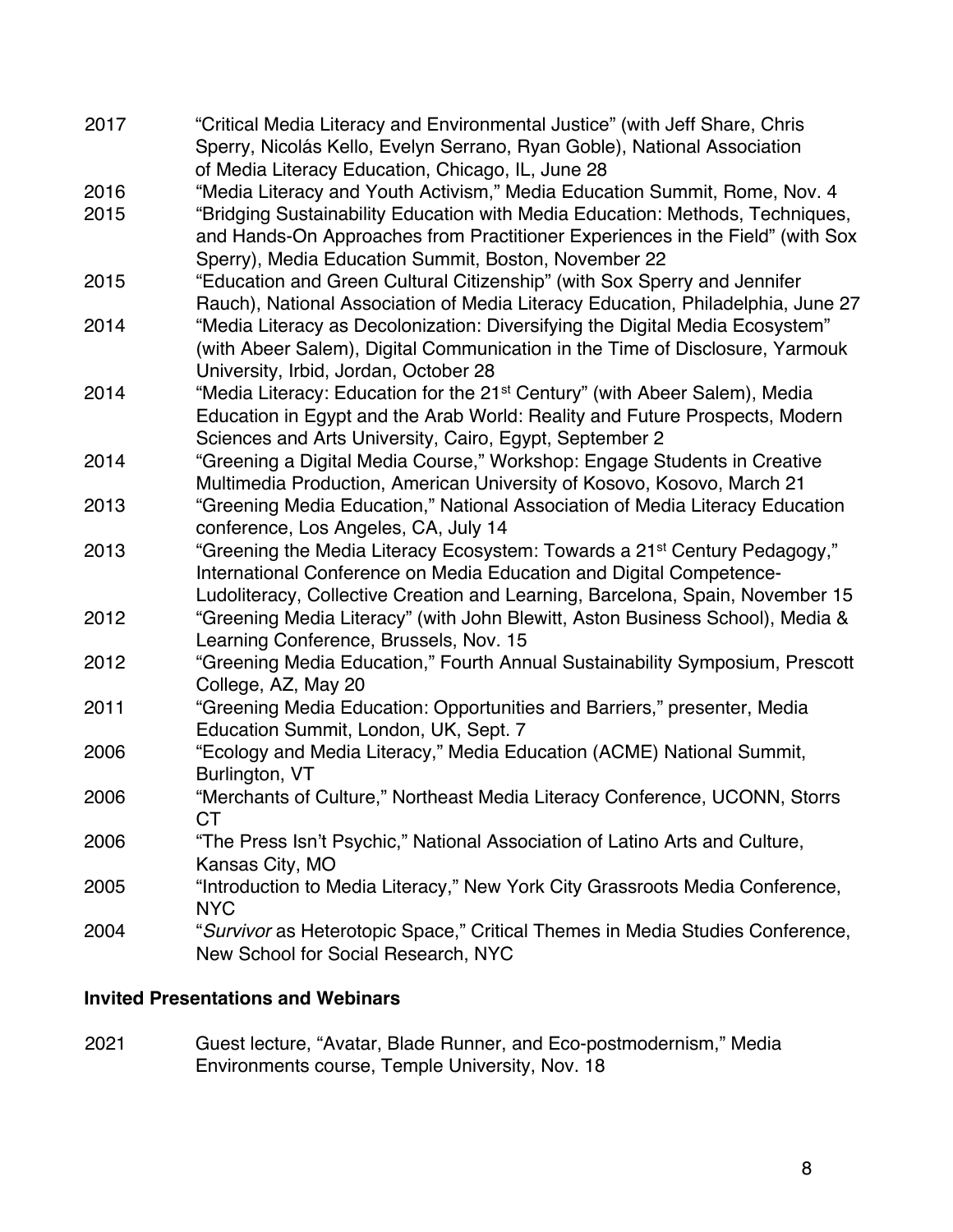2017 "Critical Media Literacy and Environmental Justice" (with Jeff Share, Chris Sperry, Nicolás Kello, Evelyn Serrano, Ryan Goble), National Association of Media Literacy Education, Chicago, IL, June 28 2016 "Media Literacy and Youth Activism," Media Education Summit, Rome, Nov. 4 2015 "Bridging Sustainability Education with Media Education: Methods, Techniques, and Hands-On Approaches from Practitioner Experiences in the Field" (with Sox Sperry), Media Education Summit, Boston, November 22 2015 "Education and Green Cultural Citizenship" (with Sox Sperry and Jennifer Rauch), National Association of Media Literacy Education, Philadelphia, June 27 2014 "Media Literacy as Decolonization: Diversifying the Digital Media Ecosystem" (with Abeer Salem), Digital Communication in the Time of Disclosure, Yarmouk University, Irbid, Jordan, October 28 2014 "Media Literacy: Education for the 21st Century" (with Abeer Salem), Media Education in Egypt and the Arab World: Reality and Future Prospects, Modern Sciences and Arts University, Cairo, Egypt, September 2 2014 "Greening a Digital Media Course," Workshop: Engage Students in Creative Multimedia Production, American University of Kosovo, Kosovo, March 21 2013 "Greening Media Education," National Association of Media Literacy Education conference, Los Angeles, CA, July 14 2013 "Greening the Media Literacy Ecosystem: Towards a 21st Century Pedagogy," International Conference on Media Education and Digital Competence-Ludoliteracy, Collective Creation and Learning, Barcelona, Spain, November 15 2012 "Greening Media Literacy" (with John Blewitt, Aston Business School), Media & Learning Conference, Brussels, Nov. 15 2012 "Greening Media Education," Fourth Annual Sustainability Symposium, Prescott College, AZ, May 20 2011 "Greening Media Education: Opportunities and Barriers," presenter, Media Education Summit, London, UK, Sept. 7 2006 "Ecology and Media Literacy," Media Education (ACME) National Summit, Burlington, VT 2006 "Merchants of Culture," Northeast Media Literacy Conference, UCONN, Storrs CT 2006 "The Press Isn't Psychic," National Association of Latino Arts and Culture, Kansas City, MO 2005 "Introduction to Media Literacy," New York City Grassroots Media Conference, NYC 2004 "*Survivor* as Heterotopic Space," Critical Themes in Media Studies Conference, New School for Social Research, NYC

### **Invited Presentations and Webinars**

2021 Guest lecture, "Avatar, Blade Runner, and Eco-postmodernism," Media Environments course, Temple University, Nov. 18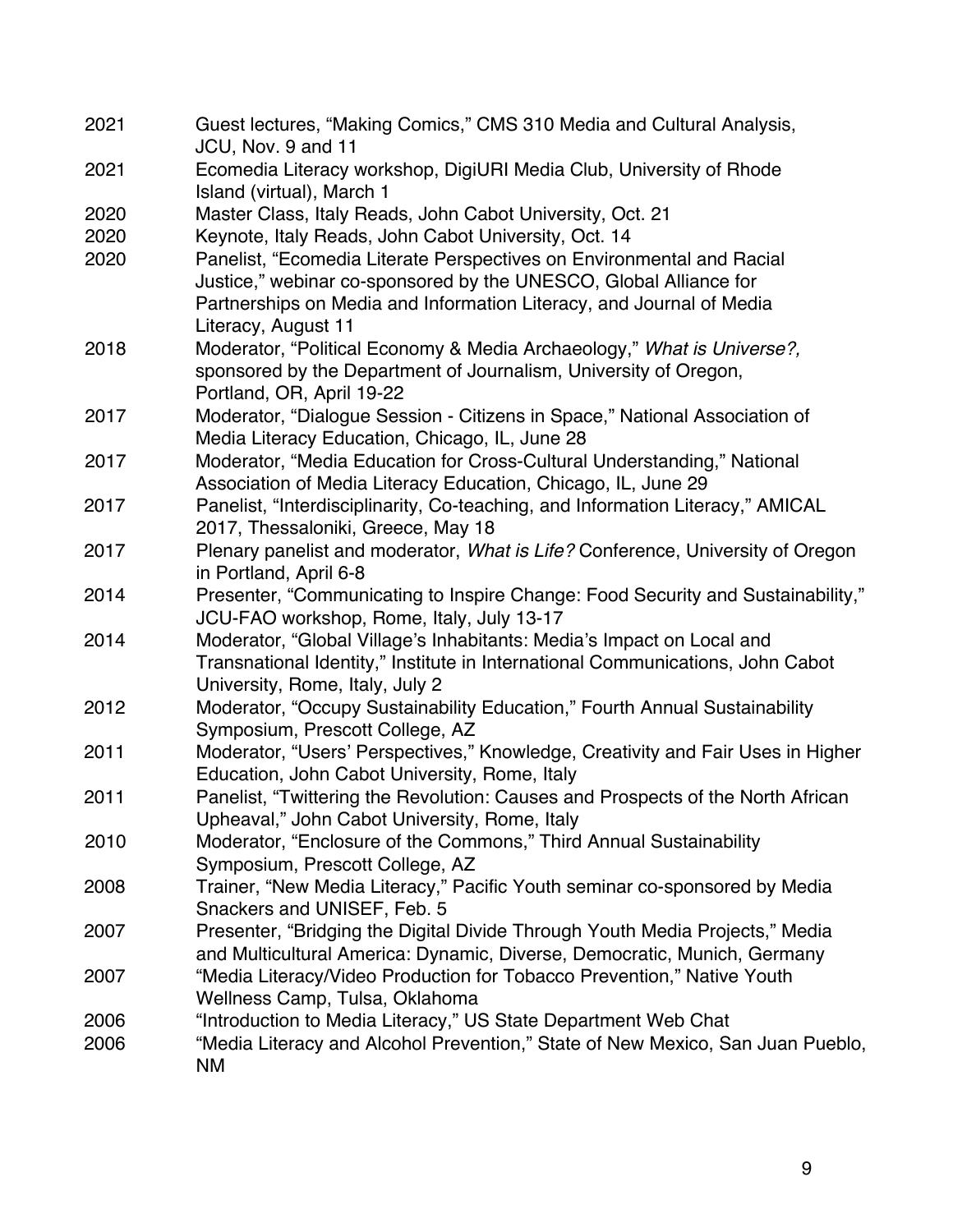| 2021 | Guest lectures, "Making Comics," CMS 310 Media and Cultural Analysis,<br>JCU, Nov. 9 and 11 |
|------|---------------------------------------------------------------------------------------------|
| 2021 | Ecomedia Literacy workshop, DigiURI Media Club, University of Rhode                         |
|      | Island (virtual), March 1                                                                   |
| 2020 | Master Class, Italy Reads, John Cabot University, Oct. 21                                   |
| 2020 | Keynote, Italy Reads, John Cabot University, Oct. 14                                        |
| 2020 | Panelist, "Ecomedia Literate Perspectives on Environmental and Racial                       |
|      | Justice," webinar co-sponsored by the UNESCO, Global Alliance for                           |
|      | Partnerships on Media and Information Literacy, and Journal of Media                        |
|      | Literacy, August 11                                                                         |
| 2018 | Moderator, "Political Economy & Media Archaeology," What is Universe?,                      |
|      | sponsored by the Department of Journalism, University of Oregon,                            |
|      | Portland, OR, April 19-22                                                                   |
| 2017 | Moderator, "Dialogue Session - Citizens in Space," National Association of                  |
|      | Media Literacy Education, Chicago, IL, June 28                                              |
| 2017 | Moderator, "Media Education for Cross-Cultural Understanding," National                     |
|      | Association of Media Literacy Education, Chicago, IL, June 29                               |
| 2017 | Panelist, "Interdisciplinarity, Co-teaching, and Information Literacy," AMICAL              |
|      | 2017, Thessaloniki, Greece, May 18                                                          |
| 2017 | Plenary panelist and moderator, What is Life? Conference, University of Oregon              |
|      | in Portland, April 6-8                                                                      |
| 2014 | Presenter, "Communicating to Inspire Change: Food Security and Sustainability,"             |
|      | JCU-FAO workshop, Rome, Italy, July 13-17                                                   |
| 2014 | Moderator, "Global Village's Inhabitants: Media's Impact on Local and                       |
|      | Transnational Identity," Institute in International Communications, John Cabot              |
|      | University, Rome, Italy, July 2                                                             |
| 2012 | Moderator, "Occupy Sustainability Education," Fourth Annual Sustainability                  |
|      | Symposium, Prescott College, AZ                                                             |
| 2011 | Moderator, "Users' Perspectives," Knowledge, Creativity and Fair Uses in Higher             |
|      | Education, John Cabot University, Rome, Italy                                               |
| 2011 | Panelist, "Twittering the Revolution: Causes and Prospects of the North African             |
|      | Upheaval," John Cabot University, Rome, Italy                                               |
| 2010 | Moderator, "Enclosure of the Commons," Third Annual Sustainability                          |
|      | Symposium, Prescott College, AZ                                                             |
| 2008 | Trainer, "New Media Literacy," Pacific Youth seminar co-sponsored by Media                  |
|      | Snackers and UNISEF, Feb. 5                                                                 |
| 2007 | Presenter, "Bridging the Digital Divide Through Youth Media Projects," Media                |
|      | and Multicultural America: Dynamic, Diverse, Democratic, Munich, Germany                    |
| 2007 | "Media Literacy/Video Production for Tobacco Prevention," Native Youth                      |
|      | Wellness Camp, Tulsa, Oklahoma                                                              |
| 2006 | "Introduction to Media Literacy," US State Department Web Chat                              |
| 2006 | "Media Literacy and Alcohol Prevention," State of New Mexico, San Juan Pueblo,              |
|      | NM                                                                                          |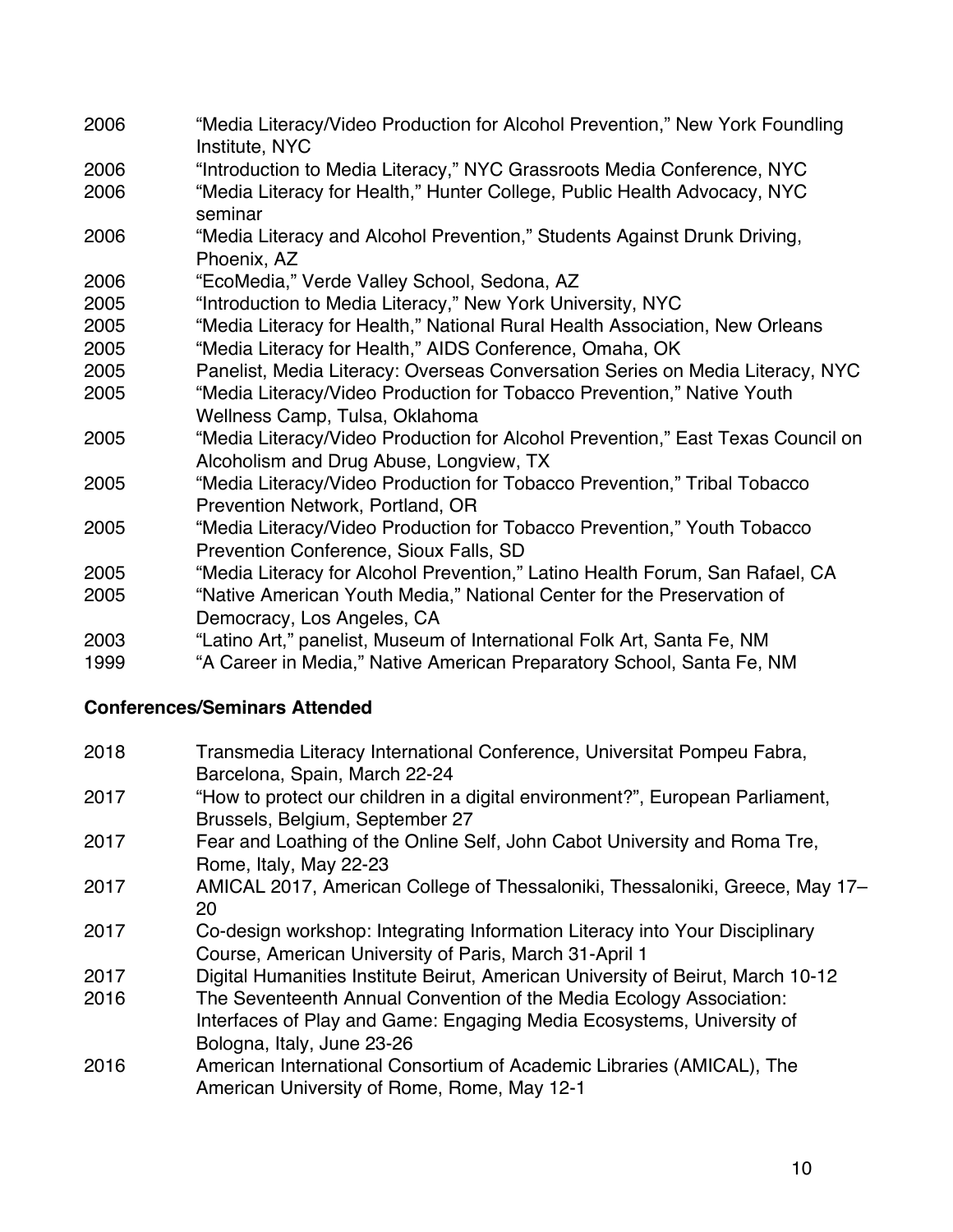- 2006 "Media Literacy/Video Production for Alcohol Prevention," New York Foundling Institute, NYC
- 2006 "Introduction to Media Literacy," NYC Grassroots Media Conference, NYC
- 2006 "Media Literacy for Health," Hunter College, Public Health Advocacy, NYC seminar
- 2006 "Media Literacy and Alcohol Prevention," Students Against Drunk Driving, Phoenix, AZ
- 2006 "EcoMedia," Verde Valley School, Sedona, AZ
- 2005 "Introduction to Media Literacy," New York University, NYC
- 2005 "Media Literacy for Health," National Rural Health Association, New Orleans
- 2005 "Media Literacy for Health," AIDS Conference, Omaha, OK
- 2005 Panelist, Media Literacy: Overseas Conversation Series on Media Literacy, NYC 2005 "Media Literacy/Video Production for Tobacco Prevention," Native Youth
- Wellness Camp, Tulsa, Oklahoma
- 2005 "Media Literacy/Video Production for Alcohol Prevention," East Texas Council on Alcoholism and Drug Abuse, Longview, TX
- 2005 "Media Literacy/Video Production for Tobacco Prevention," Tribal Tobacco Prevention Network, Portland, OR
- 2005 "Media Literacy/Video Production for Tobacco Prevention," Youth Tobacco Prevention Conference, Sioux Falls, SD
- 2005 "Media Literacy for Alcohol Prevention," Latino Health Forum, San Rafael, CA 2005 "Native American Youth Media," National Center for the Preservation of
- Democracy, Los Angeles, CA
- 2003 "Latino Art," panelist, Museum of International Folk Art, Santa Fe, NM
- 1999 "A Career in Media," Native American Preparatory School, Santa Fe, NM

# **Conferences/Seminars Attended**

2018 Transmedia Literacy International Conference, Universitat Pompeu Fabra, Barcelona, Spain, March 22-24 2017 "How to protect our children in a digital environment?", European Parliament, Brussels, Belgium, September 27 2017 Fear and Loathing of the Online Self, John Cabot University and Roma Tre, Rome, Italy, May 22-23 2017 AMICAL 2017, American College of Thessaloniki, Thessaloniki, Greece, May 17– 20 2017 Co-design workshop: Integrating Information Literacy into Your Disciplinary Course, American University of Paris, March 31-April 1 2017 Digital Humanities Institute Beirut, American University of Beirut, March 10-12 2016 The Seventeenth Annual Convention of the Media Ecology Association: Interfaces of Play and Game: Engaging Media Ecosystems, University of Bologna, Italy, June 23-26 2016 American International Consortium of Academic Libraries (AMICAL), The American University of Rome, Rome, May 12-1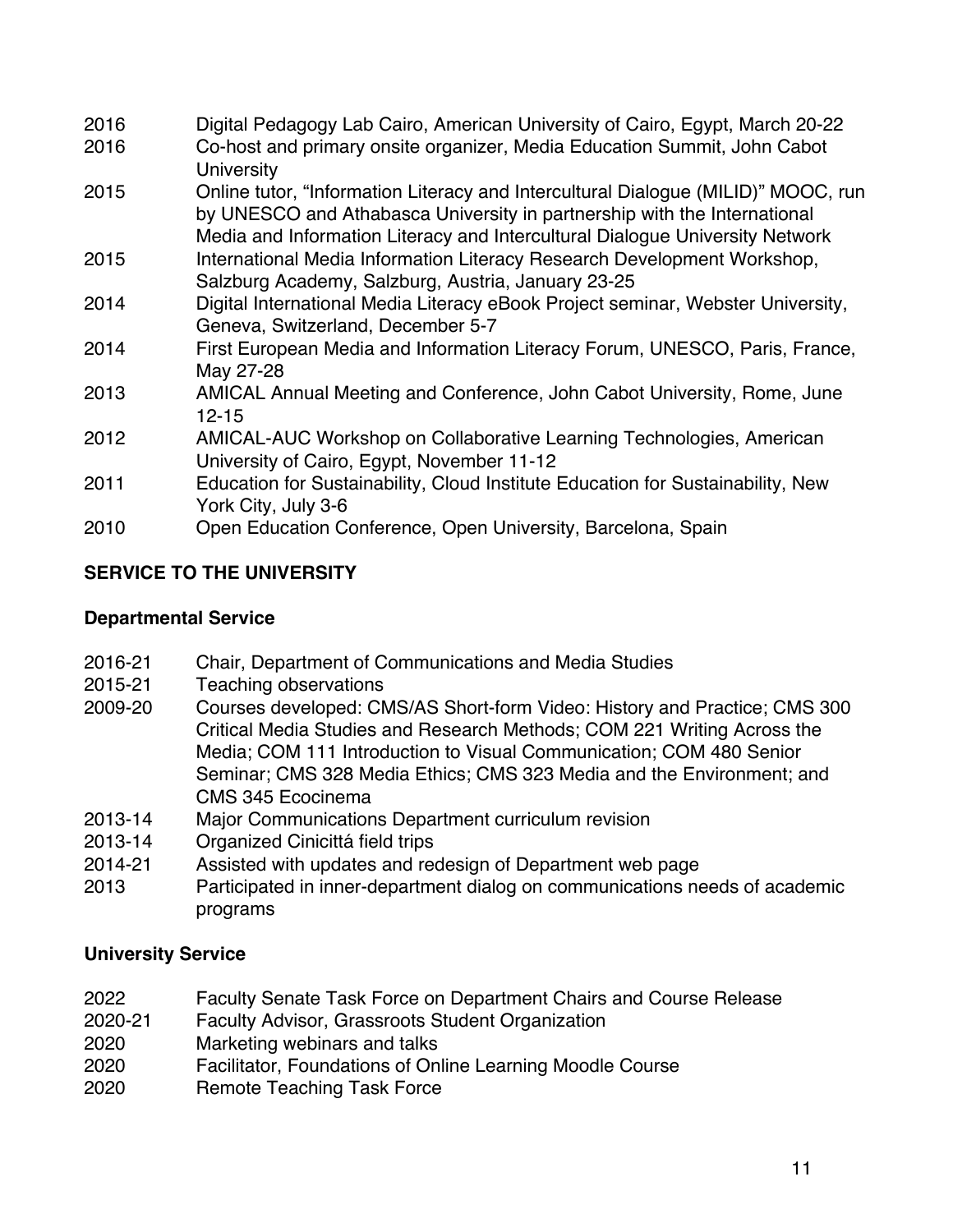| 2016 | Digital Pedagogy Lab Cairo, American University of Cairo, Egypt, March 20-22                                                                                                                                                                  |
|------|-----------------------------------------------------------------------------------------------------------------------------------------------------------------------------------------------------------------------------------------------|
| 2016 | Co-host and primary onsite organizer, Media Education Summit, John Cabot<br><b>University</b>                                                                                                                                                 |
| 2015 | Online tutor, "Information Literacy and Intercultural Dialogue (MILID)" MOOC, run<br>by UNESCO and Athabasca University in partnership with the International<br>Media and Information Literacy and Intercultural Dialogue University Network |
| 2015 | International Media Information Literacy Research Development Workshop,<br>Salzburg Academy, Salzburg, Austria, January 23-25                                                                                                                 |
| 2014 | Digital International Media Literacy eBook Project seminar, Webster University,<br>Geneva, Switzerland, December 5-7                                                                                                                          |
| 2014 | First European Media and Information Literacy Forum, UNESCO, Paris, France,<br>May 27-28                                                                                                                                                      |
| 2013 | AMICAL Annual Meeting and Conference, John Cabot University, Rome, June<br>$12 - 15$                                                                                                                                                          |
| 2012 | AMICAL-AUC Workshop on Collaborative Learning Technologies, American<br>University of Cairo, Egypt, November 11-12                                                                                                                            |
| 2011 | Education for Sustainability, Cloud Institute Education for Sustainability, New<br>York City, July 3-6                                                                                                                                        |
| 2010 | Open Education Conference, Open University, Barcelona, Spain                                                                                                                                                                                  |

## **SERVICE TO THE UNIVERSITY**

### **Departmental Service**

- 2016-21 Chair, Department of Communications and Media Studies
- 2015-21 Teaching observations
- 2009-20 Courses developed: CMS/AS Short-form Video: History and Practice; CMS 300 Critical Media Studies and Research Methods; COM 221 Writing Across the Media; COM 111 Introduction to Visual Communication; COM 480 Senior Seminar; CMS 328 Media Ethics; CMS 323 Media and the Environment; and CMS 345 Ecocinema
- 2013-14 Major Communications Department curriculum revision
- 2013-14 Organized Cinicittá field trips
- 2014-21 Assisted with updates and redesign of Department web page
- 2013 Participated in inner-department dialog on communications needs of academic programs

### **University Service**

- 2022 Faculty Senate Task Force on Department Chairs and Course Release
- 2020-21 Faculty Advisor, Grassroots Student Organization
- 2020 Marketing webinars and talks
- 2020 Facilitator, Foundations of Online Learning Moodle Course
- 2020 Remote Teaching Task Force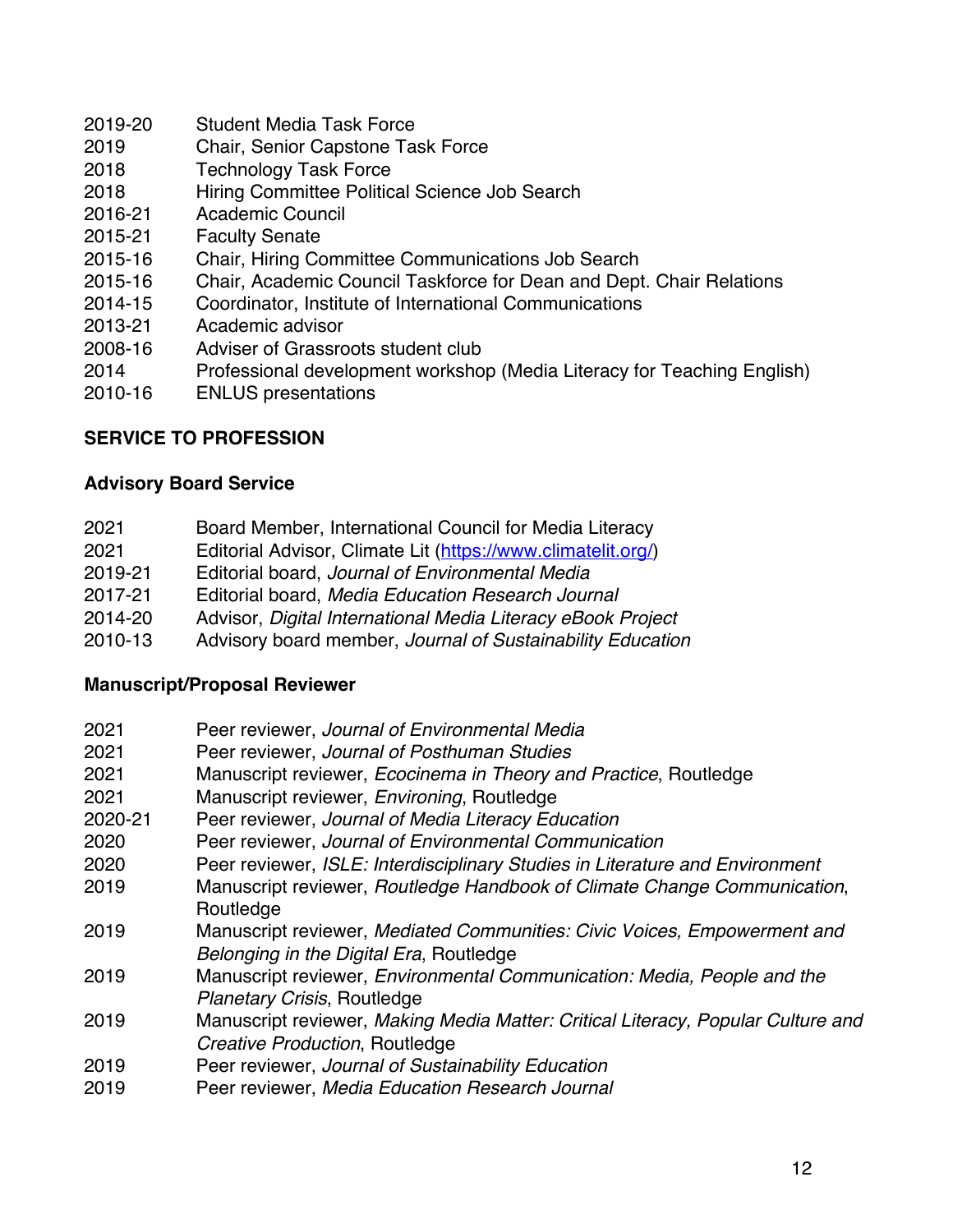- 2019-20 Student Media Task Force
- 2019 Chair, Senior Capstone Task Force
- 2018 Technology Task Force
- 2018 Hiring Committee Political Science Job Search
- 2016-21 Academic Council
- 2015-21 Faculty Senate
- 2015-16 Chair, Hiring Committee Communications Job Search
- 2015-16 Chair, Academic Council Taskforce for Dean and Dept. Chair Relations
- 2014-15 Coordinator, Institute of International Communications
- 2013-21 Academic advisor
- 2008-16 Adviser of Grassroots student club
- 2014 Professional development workshop (Media Literacy for Teaching English)
- 2010-16 ENLUS presentations

# **SERVICE TO PROFESSION**

## **Advisory Board Service**

| Board Member, International Council for Media Literacy |
|--------------------------------------------------------|
|                                                        |

- 2021 Editorial Advisor, Climate Lit (https://www.climatelit.org/)
- 2019-21 Editorial board, *Journal of Environmental Media*
- 2017-21 Editorial board, *Media Education Research Journal*
- 2014-20 Advisor, *Digital International Media Literacy eBook Project*
- 2010-13 Advisory board member, *Journal of Sustainability Education*

# **Manuscript/Proposal Reviewer**

- 2021 Peer reviewer, *Journal of Environmental Media* 2021 Peer reviewer, *Journal of Posthuman Studies* 2021 Manuscript reviewer, *Ecocinema in Theory and Practice*, Routledge 2021 Manuscript reviewer, *Environing*, Routledge 2020-21 Peer reviewer, *Journal of Media Literacy Education* 2020 Peer reviewer, *Journal of Environmental Communication* 2020 Peer reviewer, *ISLE: Interdisciplinary Studies in Literature and Environment* 2019 Manuscript reviewer, *Routledge Handbook of Climate Change Communication*, **Routledge** 2019 Manuscript reviewer, *Mediated Communities: Civic Voices, Empowerment and Belonging in the Digital Era*, Routledge 2019 Manuscript reviewer, *Environmental Communication: Media, People and the Planetary Crisis*, Routledge 2019 Manuscript reviewer, *Making Media Matter: Critical Literacy, Popular Culture and Creative Production*, Routledge 2019 Peer reviewer, *Journal of Sustainability Education*
- 2019 Peer reviewer, *Media Education Research Journal*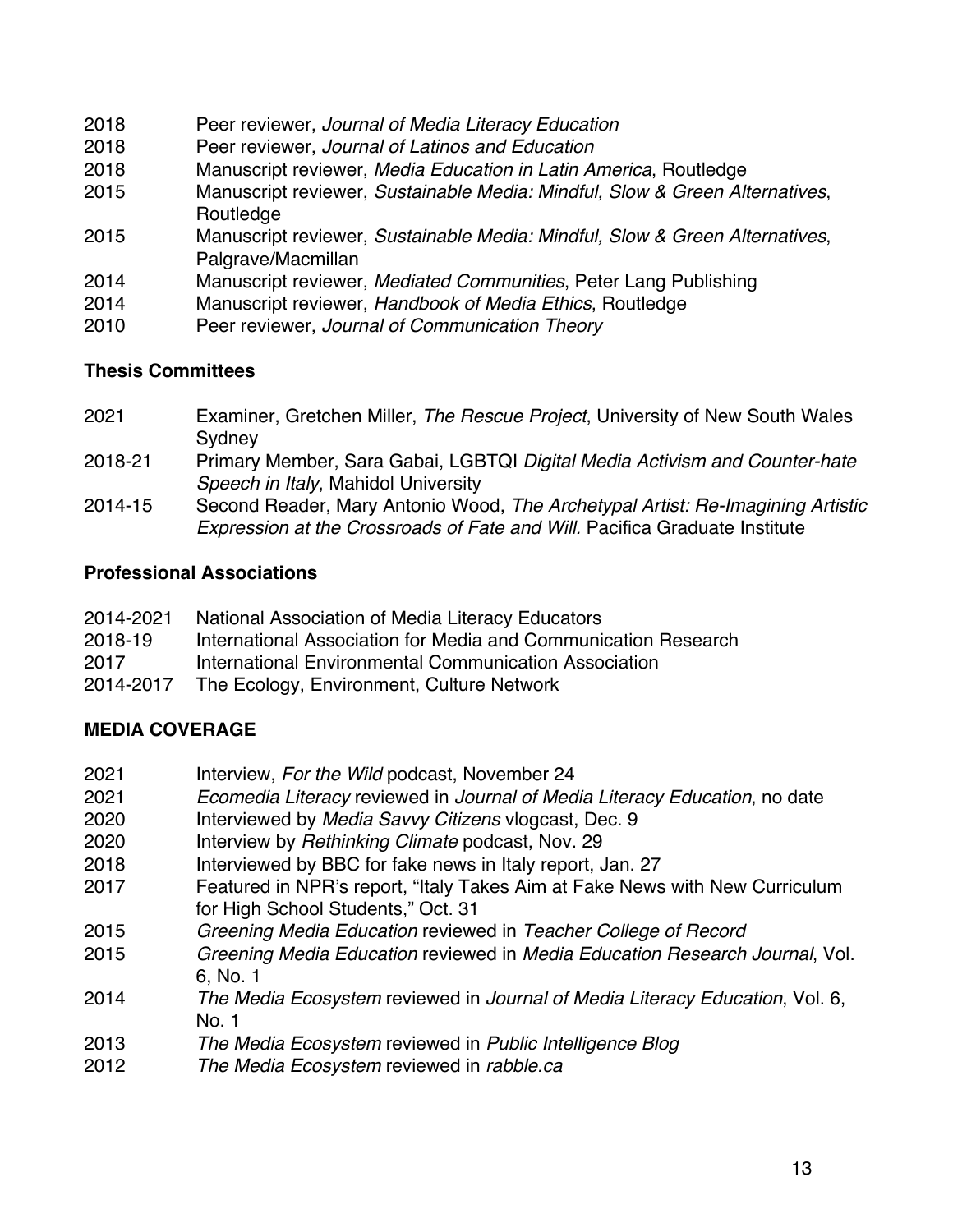- 2018 Peer reviewer, *Journal of Media Literacy Education*
- 2018 Peer reviewer, *Journal of Latinos and Education*
- 2018 Manuscript reviewer, *Media Education in Latin America*, Routledge
- 2015 Manuscript reviewer, *Sustainable Media: Mindful, Slow & Green Alternatives*, **Routledge**
- 2015 Manuscript reviewer, *Sustainable Media: Mindful, Slow & Green Alternatives*, Palgrave/Macmillan
- 2014 Manuscript reviewer, *Mediated Communities*, Peter Lang Publishing
- 2014 Manuscript reviewer, *Handbook of Media Ethics*, Routledge
- 2010 Peer reviewer, *Journal of Communication Theory*

### **Thesis Committees**

- 2021 Examiner, Gretchen Miller, *The Rescue Project*, University of New South Wales **Sydney**
- 2018-21 Primary Member, Sara Gabai, LGBTQI *Digital Media Activism and Counter-hate Speech in Italy*, Mahidol University
- 2014-15 Second Reader, Mary Antonio Wood, *The Archetypal Artist: Re-Imagining Artistic Expression at the Crossroads of Fate and Will.* Pacifica Graduate Institute

### **Professional Associations**

| 2014-2021 | National Association of Media Literacy Educators               |
|-----------|----------------------------------------------------------------|
| 2018-19   | International Association for Media and Communication Research |
| 2017      | International Environmental Communication Association          |
| 2014-2017 | The Ecology, Environment, Culture Network                      |

### **MEDIA COVERAGE**

- 2021 Interview, *For the Wild* podcast, November 24
- 2021 *Ecomedia Literacy* reviewed in *Journal of Media Literacy Education*, no date
- 2020 Interviewed by *Media Savvy Citizens* vlogcast, Dec. 9
- 2020 Interview by *Rethinking Climate* podcast, Nov. 29
- 2018 Interviewed by BBC for fake news in Italy report, Jan. 27
- 2017 Featured in NPR's report, "Italy Takes Aim at Fake News with New Curriculum for High School Students," Oct. 31
- 2015 *Greening Media Education* reviewed in *Teacher College of Record*
- 2015 *Greening Media Education* reviewed in *Media Education Research Journal*, Vol. 6, No. 1
- 2014 *The Media Ecosystem* reviewed in *Journal of Media Literacy Education*, Vol. 6, No. 1
- 2013 *The Media Ecosystem* reviewed in *Public Intelligence Blog*
- 2012 *The Media Ecosystem* reviewed in *rabble.ca*